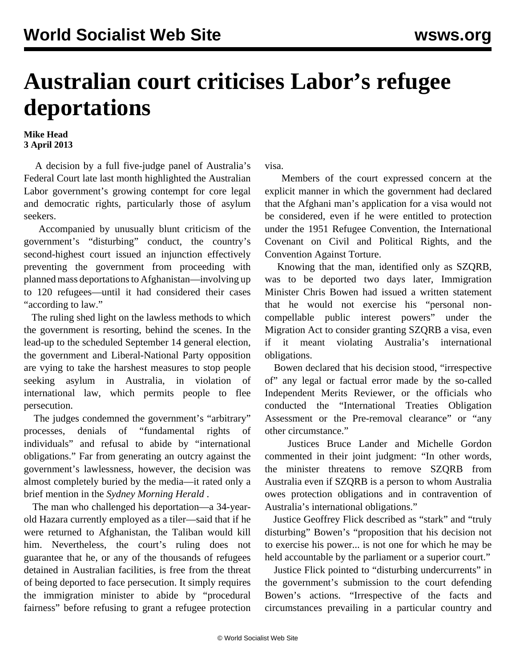## **Australian court criticises Labor's refugee deportations**

## **Mike Head 3 April 2013**

 A decision by a full five-judge panel of Australia's Federal Court late last month highlighted the Australian Labor government's growing contempt for core legal and democratic rights, particularly those of asylum seekers.

 Accompanied by unusually blunt criticism of the government's "disturbing" conduct, the country's second-highest court issued an injunction effectively preventing the government from proceeding with planned mass deportations to Afghanistan—involving up to 120 refugees—until it had considered their cases "according to law."

 The ruling shed light on the lawless methods to which the government is resorting, behind the scenes. In the lead-up to the scheduled September 14 general election, the government and Liberal-National Party opposition are vying to take the harshest measures to stop people seeking asylum in Australia, in violation of international law, which permits people to flee persecution.

 The judges condemned the government's "arbitrary" processes, denials of "fundamental rights of individuals" and refusal to abide by "international obligations." Far from generating an outcry against the government's lawlessness, however, the decision was almost completely buried by the media—it rated only a brief mention in the *Sydney Morning Herald* .

 The man who challenged his deportation—a 34-yearold Hazara currently employed as a tiler—said that if he were returned to Afghanistan, the Taliban would kill him. Nevertheless, the court's ruling does not guarantee that he, or any of the thousands of refugees detained in Australian facilities, is free from the threat of being deported to face persecution. It simply requires the immigration minister to abide by "procedural fairness" before refusing to grant a refugee protection

visa.

 Members of the court expressed concern at the explicit manner in which the government had declared that the Afghani man's application for a visa would not be considered, even if he were entitled to protection under the 1951 Refugee Convention, the International Covenant on Civil and Political Rights, and the Convention Against Torture.

 Knowing that the man, identified only as SZQRB, was to be deported two days later, Immigration Minister Chris Bowen had issued a written statement that he would not exercise his "personal noncompellable public interest powers" under the Migration Act to consider granting SZQRB a visa, even if it meant violating Australia's international obligations.

 Bowen declared that his decision stood, "irrespective of" any legal or factual error made by the so-called Independent Merits Reviewer, or the officials who conducted the "International Treaties Obligation Assessment or the Pre-removal clearance" or "any other circumstance."

 Justices Bruce Lander and Michelle Gordon commented in their joint judgment: "In other words, the minister threatens to remove SZQRB from Australia even if SZQRB is a person to whom Australia owes protection obligations and in contravention of Australia's international obligations."

 Justice Geoffrey Flick described as "stark" and "truly disturbing" Bowen's "proposition that his decision not to exercise his power... is not one for which he may be held accountable by the parliament or a superior court."

 Justice Flick pointed to "disturbing undercurrents" in the government's submission to the court defending Bowen's actions. "Irrespective of the facts and circumstances prevailing in a particular country and